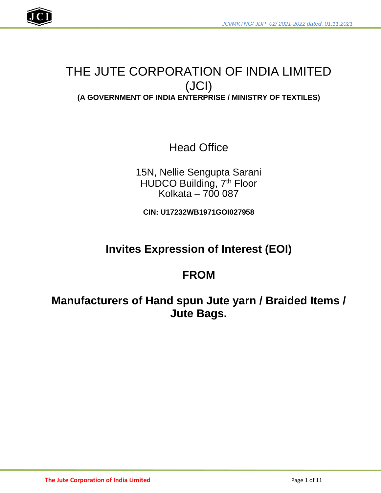

# THE JUTE CORPORATION OF INDIA LIMITED (JCI) **(A GOVERNMENT OF INDIA ENTERPRISE / MINISTRY OF TEXTILES)**

Head Office

15N, Nellie Sengupta Sarani HUDCO Building, 7<sup>th</sup> Floor Kolkata – 700 087

**CIN: U17232WB1971GOI027958**

# **Invites Expression of Interest (EOI)**

# **FROM**

**Manufacturers of Hand spun Jute yarn / Braided Items / Jute Bags.**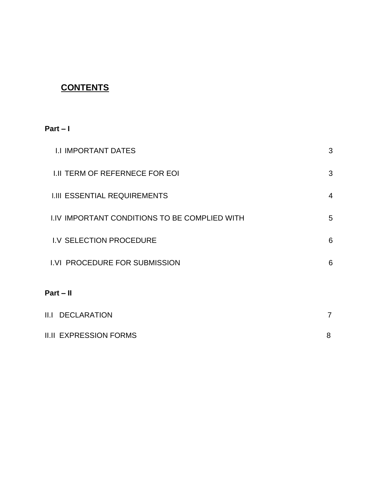## **CONTENTS**

## **Part – I**

| <b>I.I IMPORTANT DATES</b>                           | 3              |
|------------------------------------------------------|----------------|
| <b>I.II TERM OF REFERNECE FOR EOI</b>                | 3              |
| <b>I.III ESSENTIAL REQUIREMENTS</b>                  | $\overline{4}$ |
| <b>I.IV IMPORTANT CONDITIONS TO BE COMPLIED WITH</b> | 5              |
| I.V SELECTION PROCEDURE                              | 6              |
| I.VI PROCEDURE FOR SUBMISSION                        | 6              |
| $Part - II$                                          |                |
| <b>II.I DECLARATION</b>                              | 7              |

| <b>II.II EXPRESSION FORMS</b> |  |
|-------------------------------|--|
|                               |  |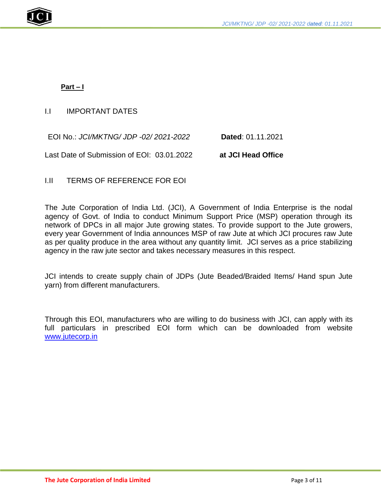

## **Part – I**

## I.I IMPORTANT DATES

EOI No.: *JCI/MKTNG/ JDP -02/ 2021-2022* **Dated**: 01.11.2021

Last Date of Submission of EOI: 03.01.2022 **at JCI Head Office**

## I.II TERMS OF REFERENCE FOR EOI

The Jute Corporation of India Ltd. (JCI), A Government of India Enterprise is the nodal agency of Govt. of India to conduct Minimum Support Price (MSP) operation through its network of DPCs in all major Jute growing states. To provide support to the Jute growers, every year Government of India announces MSP of raw Jute at which JCI procures raw Jute as per quality produce in the area without any quantity limit. JCI serves as a price stabilizing agency in the raw jute sector and takes necessary measures in this respect.

JCI intends to create supply chain of JDPs (Jute Beaded/Braided Items/ Hand spun Jute yarn) from different manufacturers.

Through this EOI, manufacturers who are willing to do business with JCI, can apply with its full particulars in prescribed EOI form which can be downloaded from website [www.jutecorp.in](http://www.jutecorp.in/)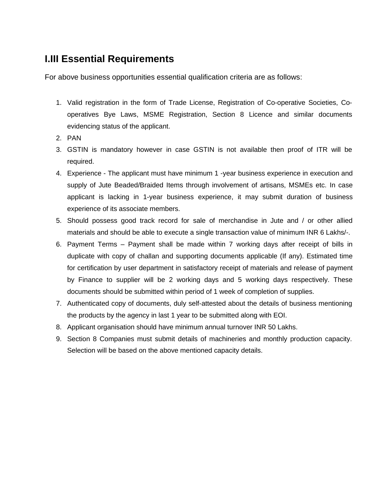## **I.III Essential Requirements**

For above business opportunities essential qualification criteria are as follows:

- 1. Valid registration in the form of Trade License, Registration of Co-operative Societies, Cooperatives Bye Laws, MSME Registration, Section 8 Licence and similar documents evidencing status of the applicant.
- 2. PAN
- 3. GSTIN is mandatory however in case GSTIN is not available then proof of ITR will be required.
- 4. Experience The applicant must have minimum 1 -year business experience in execution and supply of Jute Beaded/Braided Items through involvement of artisans, MSMEs etc. In case applicant is lacking in 1-year business experience, it may submit duration of business experience of its associate members.
- 5. Should possess good track record for sale of merchandise in Jute and / or other allied materials and should be able to execute a single transaction value of minimum INR 6 Lakhs/-.
- 6. Payment Terms Payment shall be made within 7 working days after receipt of bills in duplicate with copy of challan and supporting documents applicable (If any). Estimated time for certification by user department in satisfactory receipt of materials and release of payment by Finance to supplier will be 2 working days and 5 working days respectively. These documents should be submitted within period of 1 week of completion of supplies.
- 7. Authenticated copy of documents, duly self-attested about the details of business mentioning the products by the agency in last 1 year to be submitted along with EOI.
- 8. Applicant organisation should have minimum annual turnover INR 50 Lakhs.
- 9. Section 8 Companies must submit details of machineries and monthly production capacity. Selection will be based on the above mentioned capacity details.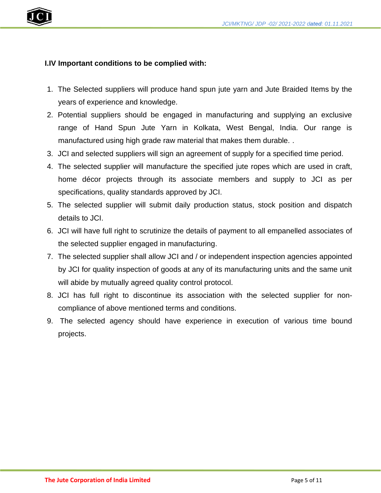



## **I.IV Important conditions to be complied with:**

- 1. The Selected suppliers will produce hand spun jute yarn and Jute Braided Items by the years of experience and knowledge.
- 2. Potential suppliers should be engaged in manufacturing and supplying an exclusive range of Hand Spun Jute Yarn in Kolkata, West Bengal, India. Our range is manufactured using high grade raw material that makes them durable. .
- 3. JCI and selected suppliers will sign an agreement of supply for a specified time period.
- 4. The selected supplier will manufacture the specified jute ropes which are used in craft, home décor projects through its associate members and supply to JCI as per specifications, quality standards approved by JCI.
- 5. The selected supplier will submit daily production status, stock position and dispatch details to JCI.
- 6. JCI will have full right to scrutinize the details of payment to all empanelled associates of the selected supplier engaged in manufacturing.
- 7. The selected supplier shall allow JCI and / or independent inspection agencies appointed by JCI for quality inspection of goods at any of its manufacturing units and the same unit will abide by mutually agreed quality control protocol.
- 8. JCI has full right to discontinue its association with the selected supplier for noncompliance of above mentioned terms and conditions.
- 9. The selected agency should have experience in execution of various time bound projects.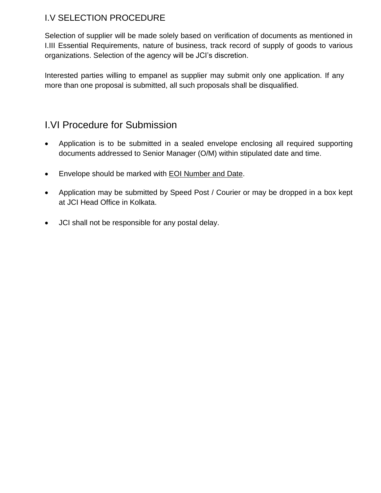## I.V SELECTION PROCEDURE

Selection of supplier will be made solely based on verification of documents as mentioned in I.III Essential Requirements, nature of business, track record of supply of goods to various organizations. Selection of the agency will be JCI's discretion.

Interested parties willing to empanel as supplier may submit only one application. If any more than one proposal is submitted, all such proposals shall be disqualified.

## I.VI Procedure for Submission

- Application is to be submitted in a sealed envelope enclosing all required supporting documents addressed to Senior Manager (O/M) within stipulated date and time.
- Envelope should be marked with **EOI Number and Date.**
- Application may be submitted by Speed Post / Courier or may be dropped in a box kept at JCI Head Office in Kolkata.
- JCI shall not be responsible for any postal delay.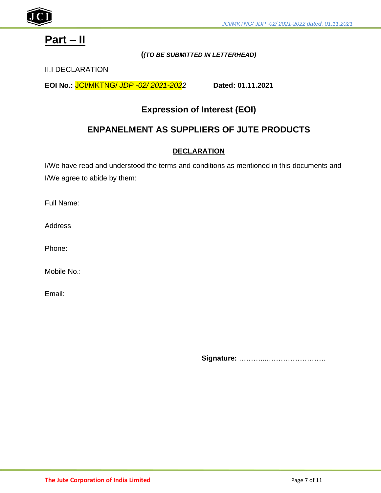

# **Part – II**

### **(***(TO BE SUBMITTED IN LETTERHEAD)*

## II.I DECLARATION

**EOI No.:** JCI/MKTNG/ *JDP -02/ 2021-2022* **Dated: 01.11.2021**

## **Expression of Interest (EOI)**

## **ENPANELMENT AS SUPPLIERS OF JUTE PRODUCTS**

## **DECLARATION**

I/We have read and understood the terms and conditions as mentioned in this documents and I/We agree to abide by them:

Full Name:

**Address** 

Phone:

Mobile No.:

Email:

**Signature:** ………...…………………….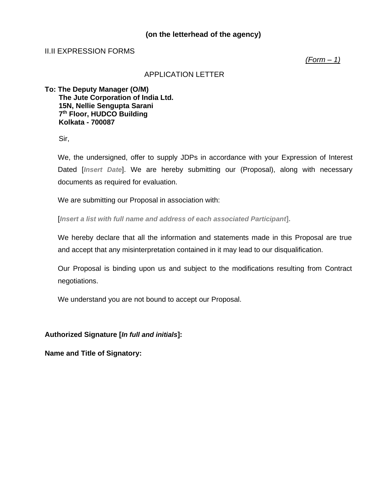## **(on the letterhead of the agency)**

#### II.II EXPRESSION FORMS

*(Form – 1)*

#### APPLICATION LETTER

**To: The Deputy Manager (O/M) The Jute Corporation of India Ltd. 15N, Nellie Sengupta Sarani 7 th Floor, HUDCO Building Kolkata - 700087**

Sir,

We, the undersigned, offer to supply JDPs in accordance with your Expression of Interest Dated [*Insert Date*]. We are hereby submitting our (Proposal), along with necessary documents as required for evaluation.

We are submitting our Proposal in association with:

[*Insert a list with full name and address of each associated Participant***].**

We hereby declare that all the information and statements made in this Proposal are true and accept that any misinterpretation contained in it may lead to our disqualification.

Our Proposal is binding upon us and subject to the modifications resulting from Contract negotiations.

We understand you are not bound to accept our Proposal.

**Authorized Signature [***In full and initials***]:**

**Name and Title of Signatory:**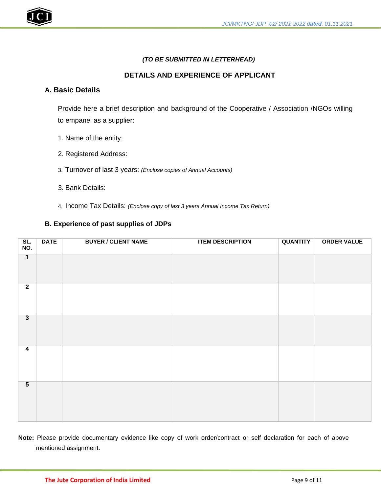#### *(TO BE SUBMITTED IN LETTERHEAD)*

#### **DETAILS AND EXPERIENCE OF APPLICANT**

#### **A. Basic Details**

Provide here a brief description and background of the Cooperative / Association /NGOs willing to empanel as a supplier:

- 1. Name of the entity:
- 2. Registered Address:
- 3. Turnover of last 3 years: *(Enclose copies of Annual Accounts)*
- 3. Bank Details:
- 4. Income Tax Details: *(Enclose copy of last 3 years Annual Income Tax Return)*

#### **B. Experience of past supplies of JDPs**

| SL.<br>NO.      | <b>DATE</b> | <b>BUYER / CLIENT NAME</b> | <b>ITEM DESCRIPTION</b> | <b>QUANTITY</b> | <b>ORDER VALUE</b> |
|-----------------|-------------|----------------------------|-------------------------|-----------------|--------------------|
| $\overline{1}$  |             |                            |                         |                 |                    |
| $\overline{2}$  |             |                            |                         |                 |                    |
| $\overline{3}$  |             |                            |                         |                 |                    |
| $\overline{4}$  |             |                            |                         |                 |                    |
| $5\overline{)}$ |             |                            |                         |                 |                    |

**Note:** Please provide documentary evidence like copy of work order/contract or self declaration for each of above mentioned assignment.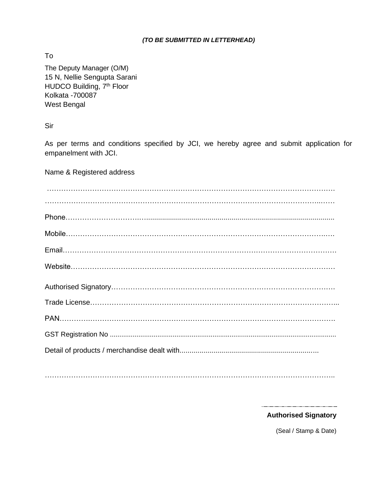#### *(TO BE SUBMITTED IN LETTERHEAD)*

To

The Deputy Manager (O/M) 15 N, Nellie Sengupta Sarani HUDCO Building, 7<sup>th</sup> Floor Kolkata -700087 West Bengal

Sir

As per terms and conditions specified by JCI, we hereby agree and submit application for empanelment with JCI.

Name & Registered address

…………………………………………………………………………………………………………..

 $\begin{minipage}{0.5\textwidth} \begin{tabular}{|c|c|c|} \hline \multicolumn{1}{|c|}{0.5\textwidth} \begin{tabular}{|c|c|c|} \hline \multicolumn{1}{|c|}{0.5\textwidth} \begin{tabular}{|c|c|c|} \hline \multicolumn{1}{|c|}{0.5\textwidth} \begin{tabular}{|c|c|c|} \hline \multicolumn{1}{|c|}{0.5\textwidth} \begin{tabular}{|c|c|c|} \hline \multicolumn{1}{|c|}{0.5\textwidth} \begin{tabular}{|c|c|c|} \hline \multicolumn{1}{|c|}{0.5$ **Authorised Signatory** 

(Seal / Stamp & Date)